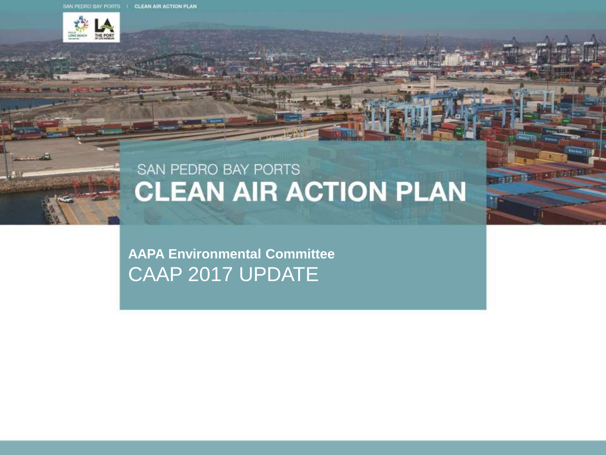

## SAN PEDRO BAY PORTS **CLEAN AIR ACTION PLAN**

2012年12月

**AAPA Environmental Committee** CAAP 2017 UPDATE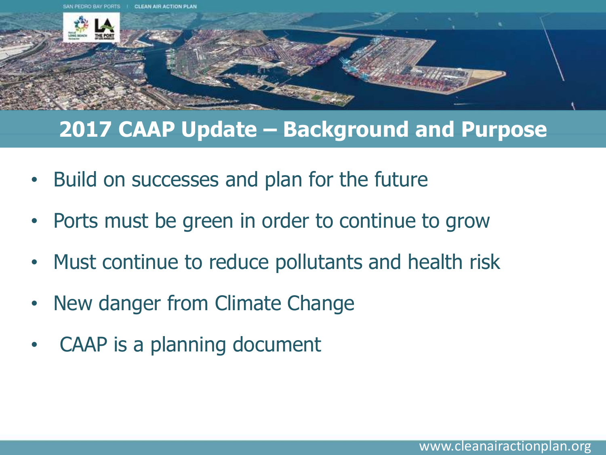

### **2017 CAAP Update – Background and Purpose**

- Build on successes and plan for the future
- Ports must be green in order to continue to grow
- Must continue to reduce pollutants and health risk
- New danger from Climate Change
- CAAP is a planning document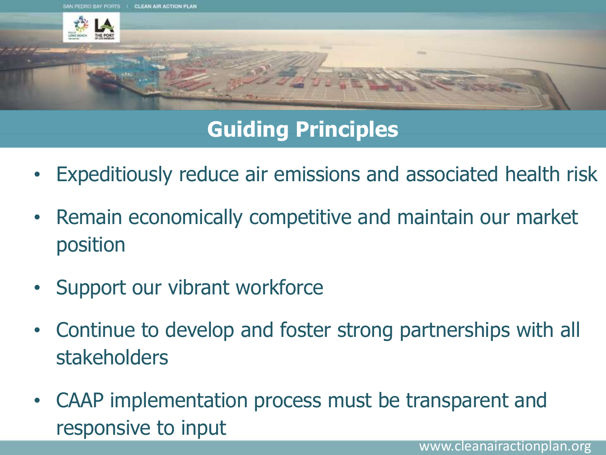

# **Guiding Principles**

- Expeditiously reduce air emissions and associated health risk
- Remain economically competitive and maintain our market position
- Support our vibrant workforce
- Continue to develop and foster strong partnerships with all stakeholders
- CAAP implementation process must be transparent and responsive to input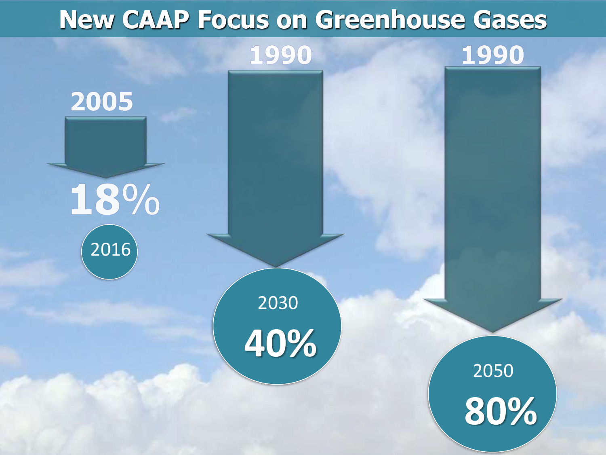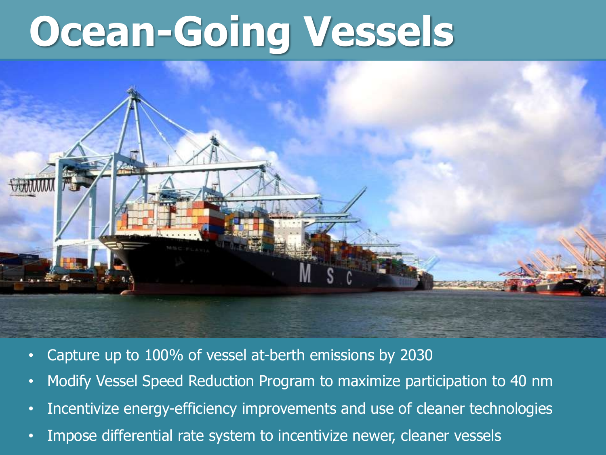# **Ocean-Going Vessels**



- Capture up to 100% of vessel at-berth emissions by 2030
- Modify Vessel Speed Reduction Program to maximize participation to 40 nm
- Incentivize energy-efficiency improvements and use of cleaner technologies
- Impose differential rate system to incentivize newer, cleaner vessels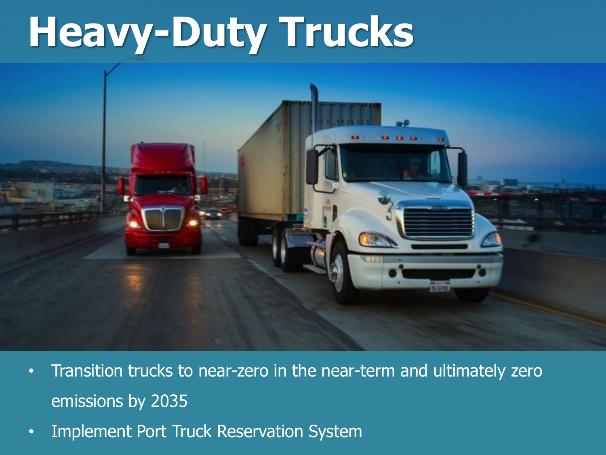# **Heavy-Duty Trucks**

- Transition trucks to near-zero in the near-term and ultimately zero emissions by 2035
- Implement Port Truck Reservation System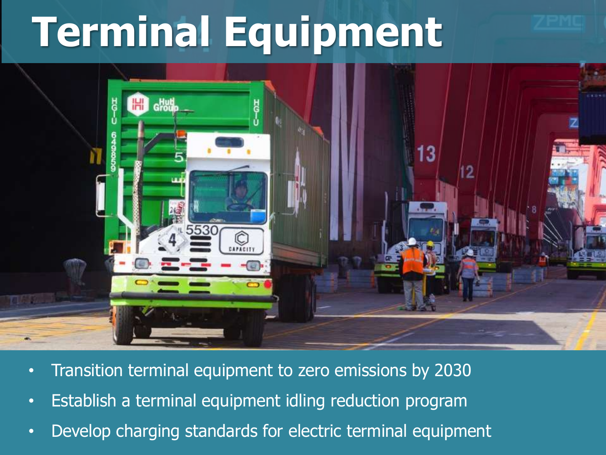# **Terminal Equipment**



- Transition terminal equipment to zero emissions by 2030
- Establish a terminal equipment idling reduction program
- Develop charging standards for electric terminal equipment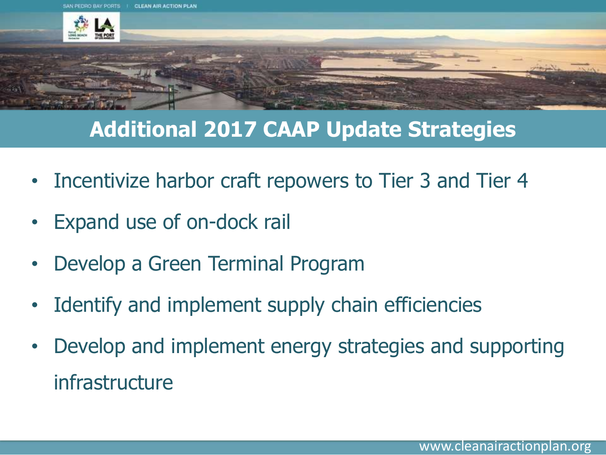

# **Additional 2017 CAAP Update Strategies**

- Incentivize harbor craft repowers to Tier 3 and Tier 4
- Expand use of on-dock rail
- Develop a Green Terminal Program
- I dentify and implement supply chain efficiencies
- Develop and implement energy strategies and supporting infrastructure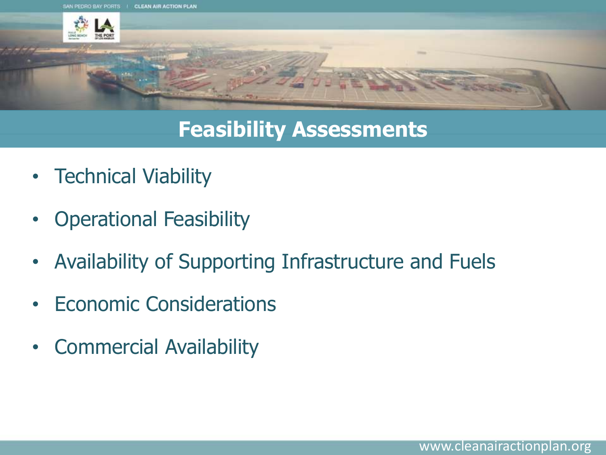

### **Feasibility Assessments**

- Technical Viability
- Operational Feasibility
- Availability of Supporting Infrastructure and Fuels
- Economic Considerations
- Commercial Availability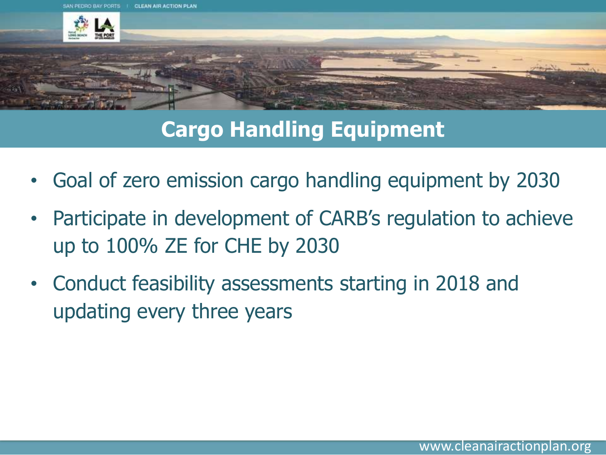

## **Cargo Handling Equipment**

- Goal of zero emission cargo handling equipment by 2030
- Participate in development of CARB's regulation to achieve up to 100% ZE for CHE by 2030
- Conduct feasibility assessments starting in 2018 and updating every three years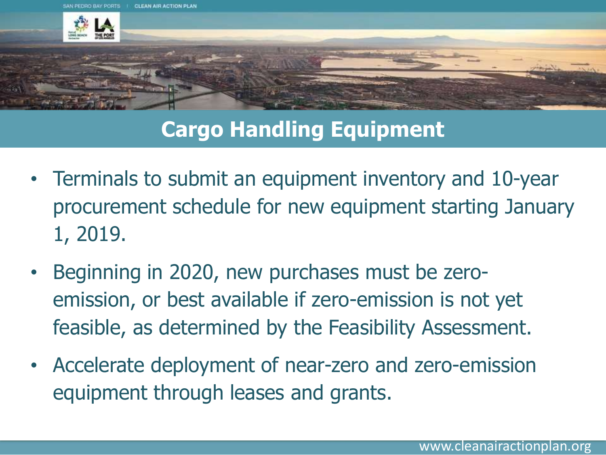

# **Cargo Handling Equipment**

- Terminals to submit an equipment inventory and 10-year procurement schedule for new equipment starting January 1, 2019.
- Beginning in 2020, new purchases must be zeroemission, or best available if zero-emission is not yet feasible, as determined by the Feasibility Assessment.
- Accelerate deployment of near-zero and zero-emission equipment through leases and grants.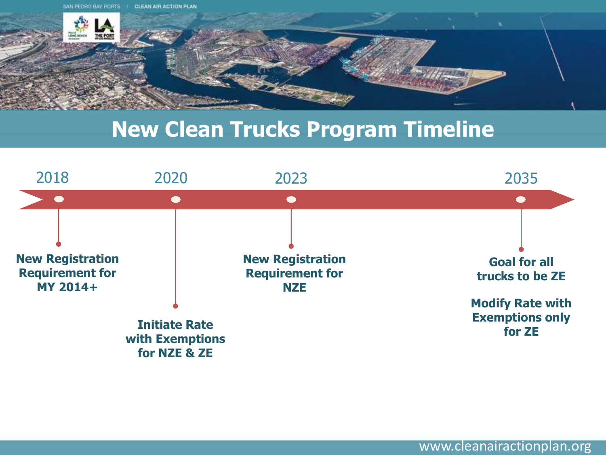

#### **New Clean Trucks Program Timeline**

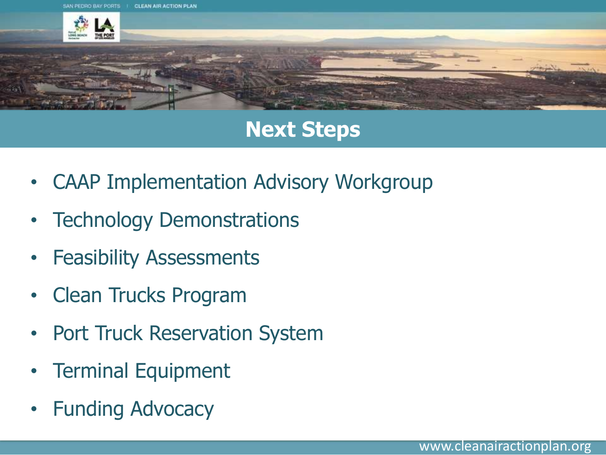

### **Next Steps**

- CAAP Implementation Advisory Workgroup
- **Technology Demonstrations**
- **Feasibility Assessments**
- Clean Trucks Program
- Port Truck Reservation System
- Terminal Equipment
- **Funding Advocacy**